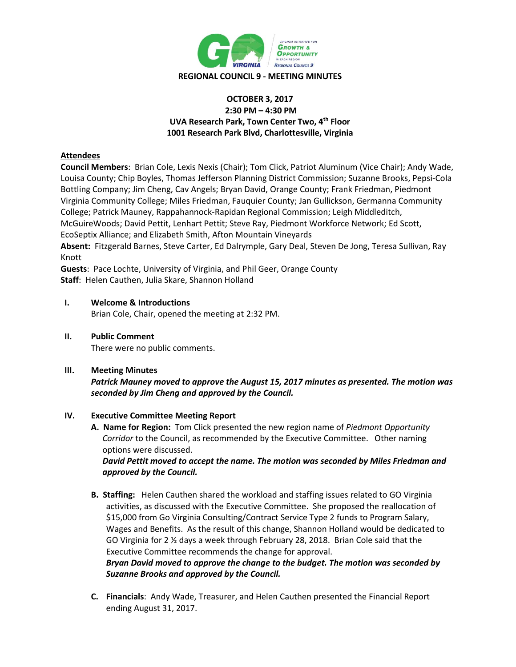

## **OCTOBER 3, 2017 2:30 PM – 4:30 PM UVA Research Park, Town Center Two, 4th Floor 1001 Research Park Blvd, Charlottesville, Virginia**

# **Attendees**

**Council Members**: Brian Cole, Lexis Nexis (Chair); Tom Click, Patriot Aluminum (Vice Chair); Andy Wade, Louisa County; Chip Boyles, Thomas Jefferson Planning District Commission; Suzanne Brooks, Pepsi-Cola Bottling Company; Jim Cheng, Cav Angels; Bryan David, Orange County; Frank Friedman, Piedmont Virginia Community College; Miles Friedman, Fauquier County; Jan Gullickson, Germanna Community College; Patrick Mauney, Rappahannock-Rapidan Regional Commission; Leigh Middleditch, McGuireWoods; David Pettit, Lenhart Pettit; Steve Ray, Piedmont Workforce Network; Ed Scott, EcoSeptix Alliance; and Elizabeth Smith, Afton Mountain Vineyards **Absent:** Fitzgerald Barnes, Steve Carter, Ed Dalrymple, Gary Deal, Steven De Jong, Teresa Sullivan, Ray Knott

**Guests**: Pace Lochte, University of Virginia, and Phil Geer, Orange County

**Staff**: Helen Cauthen, Julia Skare, Shannon Holland

## **I. Welcome & Introductions**

Brian Cole, Chair, opened the meeting at 2:32 PM.

**II. Public Comment** There were no public comments.

### **III. Meeting Minutes**

*Patrick Mauney moved to approve the August 15, 2017 minutes as presented. The motion was seconded by Jim Cheng and approved by the Council.*

### **IV. Executive Committee Meeting Report**

**A. Name for Region:** Tom Click presented the new region name of *Piedmont Opportunity Corridor* to the Council, as recommended by the Executive Committee. Other naming options were discussed.

*David Pettit moved to accept the name. The motion was seconded by Miles Friedman and approved by the Council.* 

- **B. Staffing:** Helen Cauthen shared the workload and staffing issues related to GO Virginia activities, as discussed with the Executive Committee. She proposed the reallocation of \$15,000 from Go Virginia Consulting/Contract Service Type 2 funds to Program Salary, Wages and Benefits. As the result of this change, Shannon Holland would be dedicated to GO Virginia for 2 ½ days a week through February 28, 2018. Brian Cole said that the Executive Committee recommends the change for approval. *Bryan David moved to approve the change to the budget. The motion was seconded by Suzanne Brooks and approved by the Council.*
- **C. Financials**: Andy Wade, Treasurer, and Helen Cauthen presented the Financial Report ending August 31, 2017.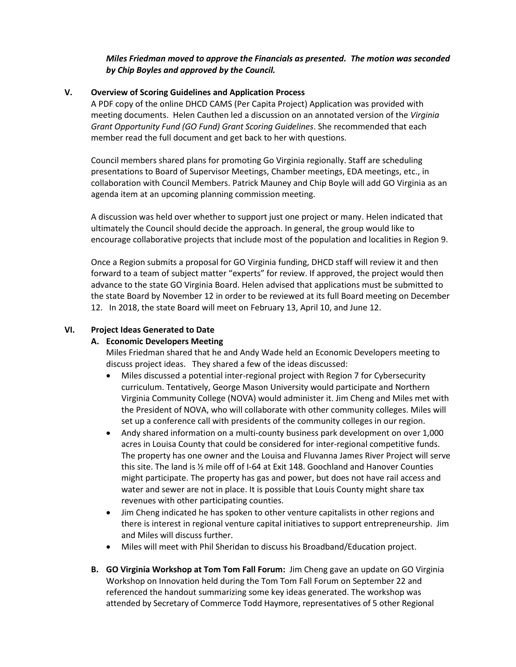## *Miles Friedman moved to approve the Financials as presented. The motion was seconded by Chip Boyles and approved by the Council.*

## **V. Overview of Scoring Guidelines and Application Process**

A PDF copy of the online DHCD CAMS (Per Capita Project) Application was provided with meeting documents. Helen Cauthen led a discussion on an annotated version of the *Virginia Grant Opportunity Fund (GO Fund) Grant Scoring Guidelines*. She recommended that each member read the full document and get back to her with questions.

Council members shared plans for promoting Go Virginia regionally. Staff are scheduling presentations to Board of Supervisor Meetings, Chamber meetings, EDA meetings, etc., in collaboration with Council Members. Patrick Mauney and Chip Boyle will add GO Virginia as an agenda item at an upcoming planning commission meeting.

A discussion was held over whether to support just one project or many. Helen indicated that ultimately the Council should decide the approach. In general, the group would like to encourage collaborative projects that include most of the population and localities in Region 9.

Once a Region submits a proposal for GO Virginia funding, DHCD staff will review it and then forward to a team of subject matter "experts" for review. If approved, the project would then advance to the state GO Virginia Board. Helen advised that applications must be submitted to the state Board by November 12 in order to be reviewed at its full Board meeting on December 12. In 2018, the state Board will meet on February 13, April 10, and June 12.

### **VI. Project Ideas Generated to Date**

### **A. Economic Developers Meeting**

Miles Friedman shared that he and Andy Wade held an Economic Developers meeting to discuss project ideas. They shared a few of the ideas discussed:

- Miles discussed a potential inter-regional project with Region 7 for Cybersecurity curriculum. Tentatively, George Mason University would participate and Northern Virginia Community College (NOVA) would administer it. Jim Cheng and Miles met with the President of NOVA, who will collaborate with other community colleges. Miles will set up a conference call with presidents of the community colleges in our region.
- Andy shared information on a multi-county business park development on over 1,000 acres in Louisa County that could be considered for inter-regional competitive funds. The property has one owner and the Louisa and Fluvanna James River Project will serve this site. The land is ½ mile off of I-64 at Exit 148. Goochland and Hanover Counties might participate. The property has gas and power, but does not have rail access and water and sewer are not in place. It is possible that Louis County might share tax revenues with other participating counties.
- Jim Cheng indicated he has spoken to other venture capitalists in other regions and there is interest in regional venture capital initiatives to support entrepreneurship. Jim and Miles will discuss further.
- Miles will meet with Phil Sheridan to discuss his Broadband/Education project.
- **B. GO Virginia Workshop at Tom Tom Fall Forum:** Jim Cheng gave an update on GO Virginia Workshop on Innovation held during the Tom Tom Fall Forum on September 22 and referenced the handout summarizing some key ideas generated. The workshop was attended by Secretary of Commerce Todd Haymore, representatives of 5 other Regional